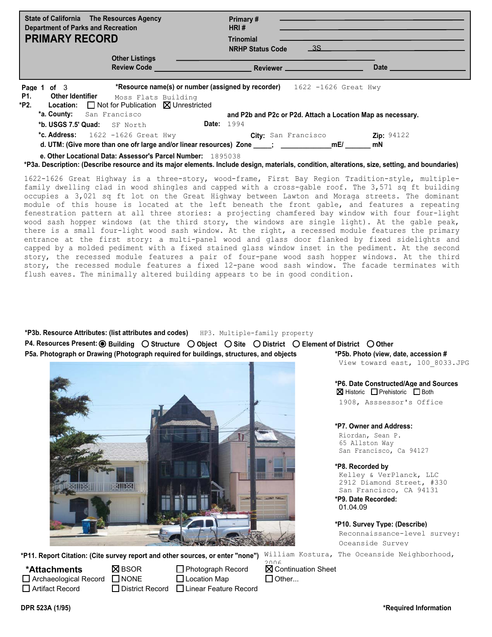| <b>State of California</b> The Resources Agency<br><b>Department of Parks and Recreation</b><br><b>PRIMARY RECORD</b>                                                                                          | Primary#<br>HRI#<br><b>Trinomial</b><br><b>NRHP Status Code</b> | 3S                                                          |                           |
|----------------------------------------------------------------------------------------------------------------------------------------------------------------------------------------------------------------|-----------------------------------------------------------------|-------------------------------------------------------------|---------------------------|
| <b>Other Listings</b><br><b>Review Code</b>                                                                                                                                                                    | Reviewer __                                                     |                                                             | <b>Date</b>               |
| *Resource name(s) or number (assigned by recorder)<br>Page 1 of 3<br><b>P1.</b><br><b>Other Identifier</b><br>Moss Flats Building<br>$\Box$ Not for Publication $\boxtimes$ Unrestricted<br>*P2.<br>Location:  |                                                                 | 1622 -1626 Great Hwy                                        |                           |
| *a. County:<br>San Francisco<br>*b. USGS 7.5' Quad: SF North                                                                                                                                                   | <b>Date:</b> 1994                                               | and P2b and P2c or P2d. Attach a Location Map as necessary. |                           |
| *c. Address:<br>1622 -1626 Great Hwy                                                                                                                                                                           |                                                                 | City: San Francisco                                         | <b>Zip:</b> $94122$<br>mN |
| e. Other Locational Data: Assessor's Parcel Number: 1895038<br>*P3a. Description: (Describe resource and its major elements. Include design, materials, condition, alterations, size, setting, and boundaries) |                                                                 |                                                             |                           |

1622-1626 Great Highway is a three-story, wood-frame, First Bay Region Tradition-style, multiplefamily dwelling clad in wood shingles and capped with a cross-gable roof. The 3,571 sq ft building occupies a 3,021 sq ft lot on the Great Highway between Lawton and Moraga streets. The dominant module of this house is located at the left beneath the front gable, and features a repeating fenestration pattern at all three stories: a projecting chamfered bay window with four four-light wood sash hopper windows (at the third story, the windows are single light). At the gable peak, there is a small four-light wood sash window. At the right, a recessed module features the primary entrance at the first story: a multi-panel wood and glass door flanked by fixed sidelights and capped by a molded pediment with a fixed stained glass window inset in the pediment. At the second story, the recessed module features a pair of four-pane wood sash hopper windows. At the third story, the recessed module features a fixed 12-pane wood sash window. The facade terminates with flush eaves. The minimally altered building appears to be in good condition.

HP3. Multiple-family property **\*P3b. Resource Attributes: (list attributes and codes) P4. Resources Present: Building Structure Object Site District Element of District OtherP5a. Photograph or Drawing (Photograph required for buildings, structures, and objects \*P6. Date Constructed/Age and Sources**  $\boxtimes$  Historic  $\Box$  Prehistoric  $\Box$  Both **\*P5b. Photo (view, date, accession #** View toward east, 100\_8033.JPG

1908, Asssessor's Office

**\*P7. Owner and Address:**

Riordan, Sean P. 65 Allston Way San Francisco, Ca 94127

## **\*P8. Recorded by**

Kelley & VerPlanck, LLC 2912 Diamond Street, #330 San Francisco, CA 94131

**\*P9. Date Recorded:** 01.04.09

**\*P10. Survey Type: (Describe)** Reconnaissance-level survey: Oceanside Survey

William Kostura, The Oceanside Neighborhood, **\*P11. Report Citation: (Cite survey report and other sources, or enter "none")**

Archaeological Record NONE Artifact Record **\*Attachments**

**N**BSOR

साम्ब

District Record | Linear Feature Record □ Photograph Record □ Location Map

**X** Continuation Sheet  $\Box$  Other... 2006

**DPR 523A (1/95) \*Required Information**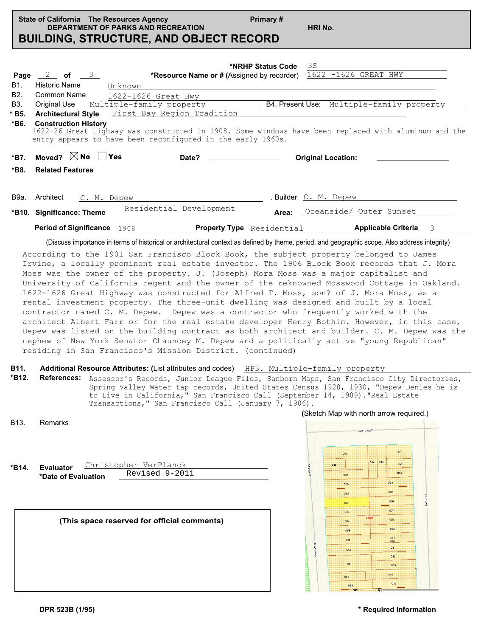|                                                                | Primary #<br>State of California The Resources Agency<br><b>DEPARTMENT OF PARKS AND RECREATION</b><br><b>BUILDING, STRUCTURE, AND OBJECT RECORD</b>                                                                                                                                                                                                                                                                                                                         |       | HRI No.                                                                 |
|----------------------------------------------------------------|-----------------------------------------------------------------------------------------------------------------------------------------------------------------------------------------------------------------------------------------------------------------------------------------------------------------------------------------------------------------------------------------------------------------------------------------------------------------------------|-------|-------------------------------------------------------------------------|
| Page<br><b>B1.</b><br>B <sub>2</sub><br>B3.<br>$*$ B5.<br>*B6. | *NRHP Status Code<br>$\frac{2}{\pi}$ of $\frac{3}{\pi}$<br>*Resource Name or # (Assigned by recorder)<br>Historic Name<br>Unknown<br>Common Name<br>1622-1626 Great Hwy<br>Original Use<br>Multiple-family property<br>Architectural Style First Bay Region Tradition<br><b>Construction History</b><br>1622-26 Great Highway was constructed in 1908. Some windows have been replaced with aluminum and the<br>entry appears to have been reconfigured in the early 1960s. |       | 3S<br>1622 -1626 GREAT HWY<br>B4. Present Use: Multiple-family property |
| *B7.                                                           | Moved? $\boxtimes$ No $\Box$<br>Yes<br>Date?                                                                                                                                                                                                                                                                                                                                                                                                                                |       | <b>Original Location:</b>                                               |
| *B8.                                                           | <b>Related Features</b>                                                                                                                                                                                                                                                                                                                                                                                                                                                     |       |                                                                         |
| В9а.                                                           | Architect<br>C. M. Depew<br>Residential Development<br>*B10. Significance: Theme                                                                                                                                                                                                                                                                                                                                                                                            | Area: | . Builder C. M. Depew<br>Oceanside/ Outer Sunset                        |
|                                                                | <b>Period of Significance</b> 1908                                                                                                                                                                                                                                                                                                                                                                                                                                          |       | <b>Property Type</b> Residential <b>Applicable Criteria</b><br>3        |
|                                                                | (Discuss importance in terms of historical or architectural context as defined by theme, period, and geographic scope. Also address integrity)                                                                                                                                                                                                                                                                                                                              |       |                                                                         |

According to the 1901 San Francisco Block Book, the subject property belonged to James Irvine, a locally prominent real estate investor. The 1906 Block Book records that J. Mora Moss was the owner of the property. J. (Joseph) Mora Moss was a major capitalist and University of California regent and the owner of the reknowned Mosswood Cottage in Oakland. 1622-1626 Great Highway was constructed for Alfred T. Moss, son? of J. Mora Moss, as a rental investment property. The three-unit dwelling was designed and built by a local contractor named C. M. Depew. Depew was a contractor who frequently worked with the architect Albert Farr or for the real estate developer Henry Bothin. However, in this case, Depew was listed on the building contract as both architect and builder. C. M. Depew was the nephew of New York Senator Chauncey M. Depew and a politically active "young Republican" residing in San Francisco's Mission District. (continued)

## **B11.** Additional Resource Attributes: (List attributes and codes) HP3. Multiple-family property

**\*B12. References:** Assessor's Records, Junior League Files, Sanborn Maps, San Francisco City Directories, Spring Valley Water tap records, United States Census 1920, 1930, "Depew Denies he is to Live in California," San Francisco Call (September 14, 1909)."Real Estate Transactions," San Francisco Call (January 7, 1906).

| B <sub>13</sub> . | <b>Remarks</b> |
|-------------------|----------------|
|                   |                |

| *B14. | Evaluator           | Christopher VerPlanck |  |
|-------|---------------------|-----------------------|--|
|       | *Date of Evaluation | Revised 9-2011        |  |
|       |                     |                       |  |

## **(This space reserved for official comments)**

|                 |     | LAWTON ST |     |            |          |
|-----------------|-----|-----------|-----|------------|----------|
|                 | 043 |           |     | 001        |          |
|                 | 042 | 044       | 045 | 002        |          |
|                 | 041 |           |     | 003        |          |
|                 | 040 |           |     | 004        |          |
|                 | 039 |           |     | 005        |          |
|                 | 038 |           |     | 006        | 48TH AVE |
|                 | 037 |           |     | 007        |          |
|                 | 054 | 1895      |     | 008        |          |
|                 | 053 |           |     | 009        |          |
|                 | 034 |           |     | 071<br>070 |          |
| <b>GREATHWY</b> | 033 |           |     | 011        |          |
|                 | 031 |           |     | 012        |          |
|                 |     |           | 013 |            |          |
|                 | 046 |           |     | 066        |          |
|                 | 029 |           |     | 015        |          |